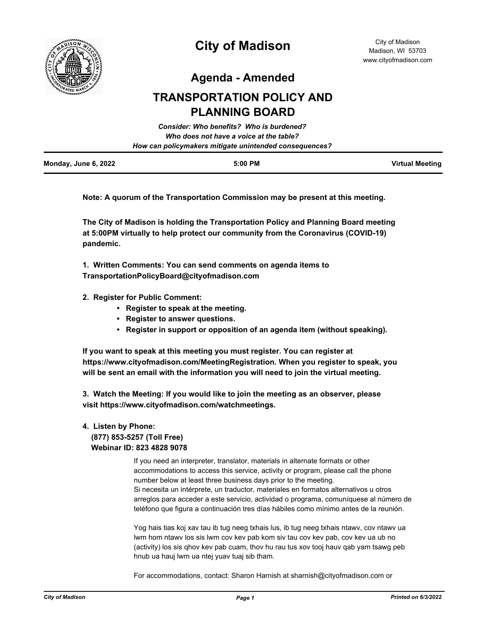

**Agenda - Amended**

# **TRANSPORTATION POLICY AND PLANNING BOARD**

|                      | Consider: Who benefits? Who is burdened?               |                        |
|----------------------|--------------------------------------------------------|------------------------|
|                      | Who does not have a voice at the table?                |                        |
|                      | How can policymakers mitigate unintended consequences? |                        |
| Monday, June 6, 2022 | $5:00$ PM                                              | <b>Virtual Meeting</b> |

**Note: A quorum of the Transportation Commission may be present at this meeting.**

**The City of Madison is holding the Transportation Policy and Planning Board meeting at 5:00PM virtually to help protect our community from the Coronavirus (COVID-19) pandemic.**

**1. Written Comments: You can send comments on agenda items to TransportationPolicyBoard@cityofmadison.com**

- **2. Register for Public Comment:** 
	- **Register to speak at the meeting.**
	- **Register to answer questions.**
	- **Register in support or opposition of an agenda item (without speaking).**

**If you want to speak at this meeting you must register. You can register at https://www.cityofmadison.com/MeetingRegistration. When you register to speak, you will be sent an email with the information you will need to join the virtual meeting.**

**3. Watch the Meeting: If you would like to join the meeting as an observer, please visit https://www.cityofmadison.com/watchmeetings.**

## **4. Listen by Phone: (877) 853-5257 (Toll Free) Webinar ID: 823 4828 9078**

If you need an interpreter, translator, materials in alternate formats or other accommodations to access this service, activity or program, please call the phone number below at least three business days prior to the meeting. Si necesita un intérprete, un traductor, materiales en formatos alternativos u otros arreglos para acceder a este servicio, actividad o programa, comuníquese al número de teléfono que figura a continuación tres días hábiles como mínimo antes de la reunión.

Yog hais tias koj xav tau ib tug neeg txhais lus, ib tug neeg txhais ntawv, cov ntawv ua lwm hom ntawv los sis lwm cov kev pab kom siv tau cov kev pab, cov kev ua ub no (activity) los sis qhov kev pab cuam, thov hu rau tus xov tooj hauv qab yam tsawg peb hnub ua hauj lwm ua ntej yuav tuaj sib tham.

For accommodations, contact: Sharon Harnish at sharnish@cityofmadison.com or